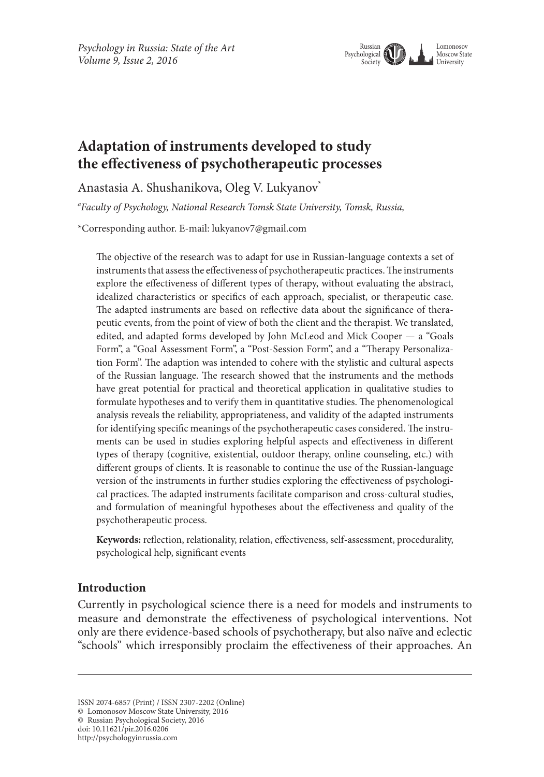

# **Adaptation of instruments developed to study the effectiveness of psychotherapeutic processes**

Anastasia A. Shushanikova, Oleg V. Lukyanov\*

*a Faculty of Psychology, National Research Tomsk State University, Tomsk, Russia,* 

\*Corresponding author. E-mail: lukyanov7@gmail.com

The objective of the research was to adapt for use in Russian-language contexts a set of instruments that assess the effectiveness of psychotherapeutic practices. The instruments explore the effectiveness of different types of therapy, without evaluating the abstract, idealized characteristics or specifics of each approach, specialist, or therapeutic case. The adapted instruments are based on reflective data about the significance of therapeutic events, from the point of view of both the client and the therapist. We translated, edited, and adapted forms developed by John McLeod and Mick Cooper — a "Goals Form", a "Goal Assessment Form", a "Post-Session Form", and a "Therapy Personalization Form". The adaption was intended to cohere with the stylistic and cultural aspects of the Russian language. The research showed that the instruments and the methods have great potential for practical and theoretical application in qualitative studies to formulate hypotheses and to verify them in quantitative studies. The phenomenological analysis reveals the reliability, appropriateness, and validity of the adapted instruments for identifying specific meanings of the psychotherapeutic cases considered. The instruments can be used in studies exploring helpful aspects and effectiveness in different types of therapy (cognitive, existential, outdoor therapy, online counseling, etc.) with different groups of clients. It is reasonable to continue the use of the Russian-language version of the instruments in further studies exploring the effectiveness of psychological practices. The adapted instruments facilitate comparison and cross-cultural studies, and formulation of meaningful hypotheses about the effectiveness and quality of the psychotherapeutic process.

**Keywords:** reflection, relationality, relation, effectiveness, self-assessment, procedurality, psychological help, significant events

# **Introduction**

Currently in psychological science there is a need for models and instruments to measure and demonstrate the effectiveness of psychological interventions. Not only are there evidence-based schools of psychotherapy, but also naïve and eclectic "schools" which irresponsibly proclaim the effectiveness of their approaches. An

ISSN 2074-6857 (Print) / ISSN 2307-2202 (Online)

<sup>©</sup> Lomonosov Moscow State University, 2016

<sup>©</sup> Russian Psychological Society, 2016

doi: 10.11621/pir.2016.0206

http://psychologyinrussia.com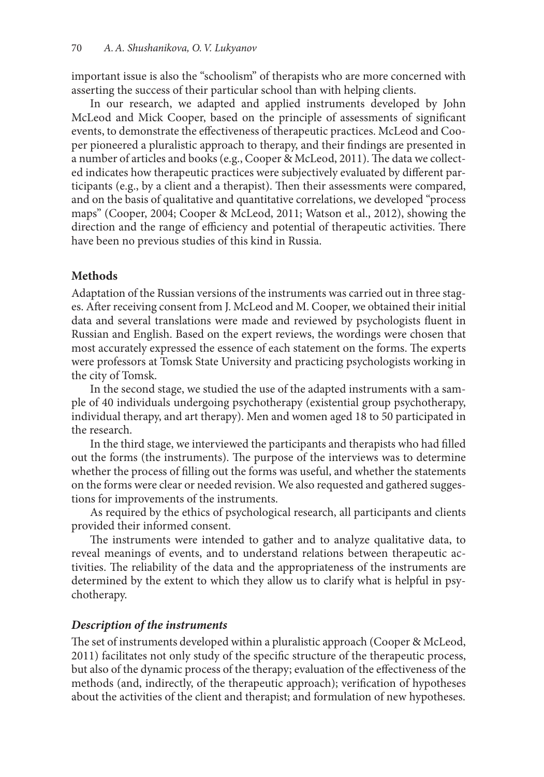important issue is also the "schoolism" of therapists who are more concerned with asserting the success of their particular school than with helping clients.

In our research, we adapted and applied instruments developed by John McLeod and Mick Cooper, based on the principle of assessments of significant events, to demonstrate the effectiveness of therapeutic practices. McLeod and Cooper pioneered a pluralistic approach to therapy, and their findings are presented in a number of articles and books (e.g., Cooper & McLeod, 2011). The data we collected indicates how therapeutic practices were subjectively evaluated by different participants (e.g., by a client and a therapist). Then their assessments were compared, and on the basis of qualitative and quantitative correlations, we developed "process maps" (Cooper, 2004; Cooper & McLeod, 2011; Watson et al., 2012), showing the direction and the range of efficiency and potential of therapeutic activities. There have been no previous studies of this kind in Russia.

# **Methods**

Adaptation of the Russian versions of the instruments was carried out in three stages. After receiving consent from J. McLeod and M. Cooper, we obtained their initial data and several translations were made and reviewed by psychologists fluent in Russian and English. Based on the expert reviews, the wordings were chosen that most accurately expressed the essence of each statement on the forms. The experts were professors at Tomsk State University and practicing psychologists working in the city of Tomsk.

In the second stage, we studied the use of the adapted instruments with a sample of 40 individuals undergoing psychotherapy (existential group psychotherapy, individual therapy, and art therapy). Men and women aged 18 to 50 participated in the research.

In the third stage, we interviewed the participants and therapists who had filled out the forms (the instruments). The purpose of the interviews was to determine whether the process of filling out the forms was useful, and whether the statements on the forms were clear or needed revision. We also requested and gathered suggestions for improvements of the instruments.

As required by the ethics of psychological research, all participants and clients provided their informed consent.

The instruments were intended to gather and to analyze qualitative data, to reveal meanings of events, and to understand relations between therapeutic activities. The reliability of the data and the appropriateness of the instruments are determined by the extent to which they allow us to clarify what is helpful in psychotherapy.

## *Description of the instruments*

The set of instruments developed within a pluralistic approach (Cooper & McLeod, 2011) facilitates not only study of the specific structure of the therapeutic process, but also of the dynamic process of the therapy; evaluation of the effectiveness of the methods (and, indirectly, of the therapeutic approach); verification of hypotheses about the activities of the client and therapist; and formulation of new hypotheses.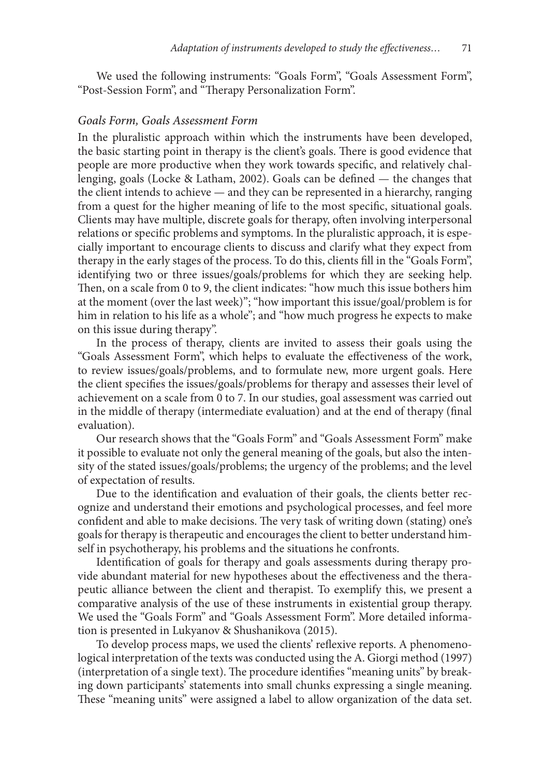We used the following instruments: "Goals Form", "Goals Assessment Form", "Post-Session Form", and "Therapy Personalization Form".

#### *Goals Form, Goals Assessment Form*

In the pluralistic approach within which the instruments have been developed, the basic starting point in therapy is the client's goals. There is good evidence that people are more productive when they work towards specific, and relatively challenging, goals (Locke & Latham, 2002). Goals can be defined — the changes that the client intends to achieve — and they can be represented in a hierarchy, ranging from a quest for the higher meaning of life to the most specific, situational goals. Clients may have multiple, discrete goals for therapy, often involving interpersonal relations or specific problems and symptoms. In the pluralistic approach, it is especially important to encourage clients to discuss and clarify what they expect from therapy in the early stages of the process. To do this, clients fill in the "Goals Form", identifying two or three issues/goals/problems for which they are seeking help. Then, on a scale from 0 to 9, the client indicates: "how much this issue bothers him at the moment (over the last week)"; "how important this issue/goal/problem is for him in relation to his life as a whole"; and "how much progress he expects to make on this issue during therapy".

In the process of therapy, clients are invited to assess their goals using the "Goals Assessment Form", which helps to evaluate the effectiveness of the work, to review issues/goals/problems, and to formulate new, more urgent goals. Here the client specifies the issues/goals/problems for therapy and assesses their level of achievement on a scale from 0 to 7. In our studies, goal assessment was carried out in the middle of therapy (intermediate evaluation) and at the end of therapy (final evaluation).

Our research shows that the "Goals Form" and "Goals Assessment Form" make it possible to evaluate not only the general meaning of the goals, but also the intensity of the stated issues/goals/problems; the urgency of the problems; and the level of expectation of results.

Due to the identification and evaluation of their goals, the clients better recognize and understand their emotions and psychological processes, and feel more confident and able to make decisions. The very task of writing down (stating) one's goals for therapy is therapeutic and encourages the client to better understand himself in psychotherapy, his problems and the situations he confronts.

Identification of goals for therapy and goals assessments during therapy provide abundant material for new hypotheses about the effectiveness and the therapeutic alliance between the client and therapist. To exemplify this, we present a comparative analysis of the use of these instruments in existential group therapy. We used the "Goals Form" and "Goals Assessment Form". More detailed information is presented in Lukyanov & Shushanikova (2015).

To develop process maps, we used the clients' reflexive reports. A phenomenological interpretation of the texts was conducted using the A. Giorgi method (1997) (interpretation of a single text). The procedure identifies "meaning units" by breaking down participants' statements into small chunks expressing a single meaning. These "meaning units" were assigned a label to allow organization of the data set.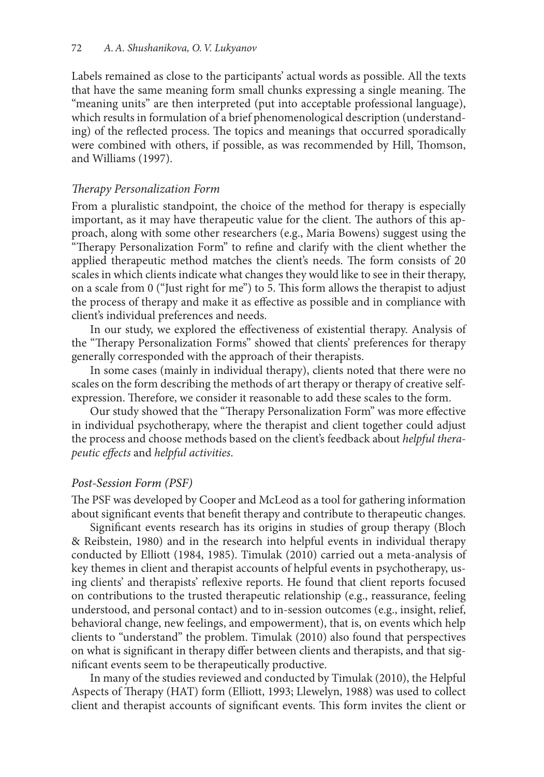Labels remained as close to the participants' actual words as possible. All the texts that have the same meaning form small chunks expressing a single meaning. The "meaning units" are then interpreted (put into acceptable professional language), which results in formulation of a brief phenomenological description (understanding) of the reflected process. The topics and meanings that occurred sporadically were combined with others, if possible, as was recommended by Hill, Thomson, and Williams (1997).

## *Therapy Personalization Form*

From a pluralistic standpoint, the choice of the method for therapy is especially important, as it may have therapeutic value for the client. The authors of this approach, along with some other researchers (e.g., Maria Bowens) suggest using the "Therapy Personalization Form" to refine and clarify with the client whether the applied therapeutic method matches the client's needs. The form consists of 20 scales in which clients indicate what changes they would like to see in their therapy, on a scale from 0 ("Just right for me") to 5. This form allows the therapist to adjust the process of therapy and make it as effective as possible and in compliance with client's individual preferences and needs.

In our study, we explored the effectiveness of existential therapy. Analysis of the "Therapy Personalization Forms" showed that clients' preferences for therapy generally corresponded with the approach of their therapists.

In some cases (mainly in individual therapy), clients noted that there were no scales on the form describing the methods of art therapy or therapy of creative selfexpression. Therefore, we consider it reasonable to add these scales to the form.

Our study showed that the "Therapy Personalization Form" was more effective in individual psychotherapy, where the therapist and client together could adjust the process and choose methods based on the client's feedback about *helpful therapeutic effects* and *helpful activities*.

#### *Post-Session Form (PSF)*

The PSF was developed by Cooper and McLeod as a tool for gathering information about significant events that benefit therapy and contribute to therapeutic changes.

Significant events research has its origins in studies of group therapy (Bloch & Reibstein, 1980) and in the research into helpful events in individual therapy conducted by Elliott (1984, 1985). Timulak (2010) carried out a meta-analysis of key themes in client and therapist accounts of helpful events in psychotherapy, using clients' and therapists' reflexive reports. He found that client reports focused on contributions to the trusted therapeutic relationship (e.g., reassurance, feeling understood, and personal contact) and to in-session outcomes (e.g., insight, relief, behavioral change, new feelings, and empowerment), that is, on events which help clients to "understand" the problem. Timulak (2010) also found that perspectives on what is significant in therapy differ between clients and therapists, and that significant events seem to be therapeutically productive.

In many of the studies reviewed and conducted by Timulak (2010), the Helpful Aspects of Therapy (HAT) form (Elliott, 1993; Llewelyn, 1988) was used to collect client and therapist accounts of significant events. This form invites the client or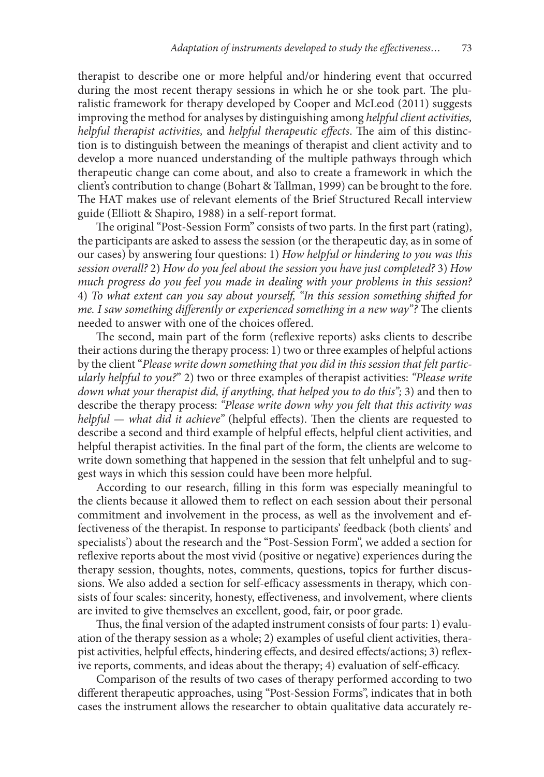therapist to describe one or more helpful and/or hindering event that occurred during the most recent therapy sessions in which he or she took part. The pluralistic framework for therapy developed by Cooper and McLeod (2011) suggests improving the method for analyses by distinguishing among *helpful client activities, helpful therapist activities,* and *helpful therapeutic effects*. The aim of this distinction is to distinguish between the meanings of therapist and client activity and to develop a more nuanced understanding of the multiple pathways through which therapeutic change can come about, and also to create a framework in which the client's contribution to change (Bohart & Tallman, 1999) can be brought to the fore. The HAT makes use of relevant elements of the Brief Structured Recall interview guide (Elliott & Shapiro, 1988) in a self-report format.

The original "Post-Session Form" consists of two parts. In the first part (rating), the participants are asked to assess the session (or the therapeutic day, as in some of our cases) by answering four questions: 1) *How helpful or hindering to you was this session overall?* 2) *How do you feel about the session you have just completed?* 3) *How much progress do you feel you made in dealing with your problems in this session?* 4) *To what extent can you say about yourself, "In this session something shifted for me. I saw something differently or experienced something in a new way"?* The clients needed to answer with one of the choices offered.

The second, main part of the form (reflexive reports) asks clients to describe their actions during the therapy process: 1) two or three examples of helpful actions by the client "*Please write down something that you did in this session that felt particularly helpful to you?*" 2) two or three examples of therapist activities: *"Please write down what your therapist did, if anything, that helped you to do this";* 3) and then to describe the therapy process: *"Please write down why you felt that this activity was helpful — what did it achieve"* (helpful effects). Then the clients are requested to describe a second and third example of helpful effects, helpful client activities, and helpful therapist activities. In the final part of the form, the clients are welcome to write down something that happened in the session that felt unhelpful and to suggest ways in which this session could have been more helpful.

According to our research, filling in this form was especially meaningful to the clients because it allowed them to reflect on each session about their personal commitment and involvement in the process, as well as the involvement and effectiveness of the therapist. In response to participants' feedback (both clients' and specialists') about the research and the "Post-Session Form", we added a section for reflexive reports about the most vivid (positive or negative) experiences during the therapy session, thoughts, notes, comments, questions, topics for further discussions. We also added a section for self-efficacy assessments in therapy, which consists of four scales: sincerity, honesty, effectiveness, and involvement, where clients are invited to give themselves an excellent, good, fair, or poor grade.

Thus, the final version of the adapted instrument consists of four parts: 1) evaluation of the therapy session as a whole; 2) examples of useful client activities, therapist activities, helpful effects, hindering effects, and desired effects/actions; 3) reflexive reports, comments, and ideas about the therapy; 4) evaluation of self-efficacy.

Comparison of the results of two cases of therapy performed according to two different therapeutic approaches, using "Post-Session Forms", indicates that in both cases the instrument allows the researcher to obtain qualitative data accurately re-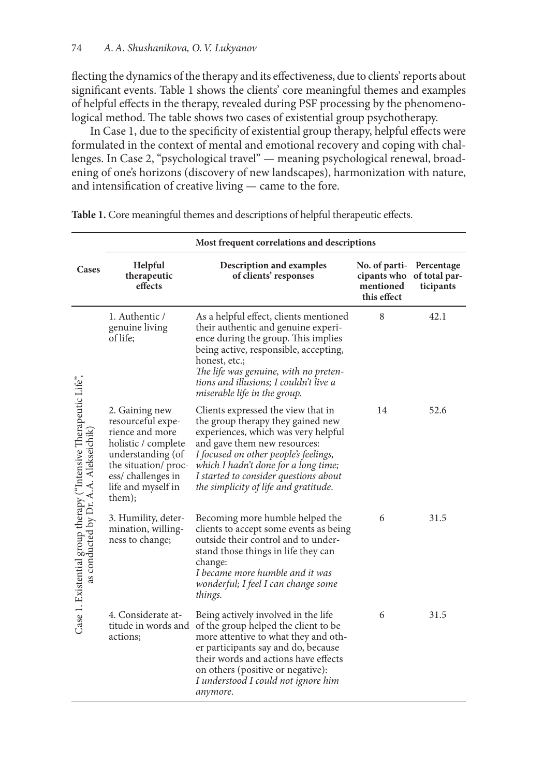flecting the dynamics of the therapy and its effectiveness, due to clients' reports about significant events. Table 1 shows the clients' core meaningful themes and examples of helpful effects in the therapy, revealed during PSF processing by the phenomenological method. The table shows two cases of existential group psychotherapy.

In Case 1, due to the specificity of existential group therapy, helpful effects were formulated in the context of mental and emotional recovery and coping with challenges. In Case 2, "psychological travel" — meaning psychological renewal, broadening of one's horizons (discovery of new landscapes), harmonization with nature, and intensification of creative living — came to the fore.

|                                                                                                          | Most frequent correlations and descriptions                                                                                                                                     |                                                                                                                                                                                                                                                                                                                   |                                                          |                                          |  |  |
|----------------------------------------------------------------------------------------------------------|---------------------------------------------------------------------------------------------------------------------------------------------------------------------------------|-------------------------------------------------------------------------------------------------------------------------------------------------------------------------------------------------------------------------------------------------------------------------------------------------------------------|----------------------------------------------------------|------------------------------------------|--|--|
| Cases                                                                                                    | Helpful<br>therapeutic<br>effects                                                                                                                                               | Description and examples<br>of clients' responses                                                                                                                                                                                                                                                                 | No. of parti-<br>cipants who<br>mentioned<br>this effect | Percentage<br>of total par-<br>ticipants |  |  |
| Case 1. Existential group therapy ("Intensive Therapeutic Life",<br>as conducted by Dr. A.A. Alekseichik | 1. Authentic /<br>genuine living<br>of life;                                                                                                                                    | As a helpful effect, clients mentioned<br>their authentic and genuine experi-<br>ence during the group. This implies<br>being active, responsible, accepting,<br>honest, etc.;<br>The life was genuine, with no preten-<br>tions and illusions; I couldn't live a<br>miserable life in the group.                 | 8                                                        | 42.1                                     |  |  |
|                                                                                                          | 2. Gaining new<br>resourceful expe-<br>rience and more<br>holistic / complete<br>understanding (of<br>the situation/ proc-<br>ess/challenges in<br>life and myself in<br>them); | Clients expressed the view that in<br>the group therapy they gained new<br>experiences, which was very helpful<br>and gave them new resources:<br>I focused on other people's feelings,<br>which I hadn't done for a long time;<br>I started to consider questions about<br>the simplicity of life and gratitude. | 14                                                       | 52.6                                     |  |  |
|                                                                                                          | 3. Humility, deter-<br>mination, willing-<br>ness to change;                                                                                                                    | Becoming more humble helped the<br>clients to accept some events as being<br>outside their control and to under-<br>stand those things in life they can<br>change:<br>I became more humble and it was<br>wonderful; I feel I can change some<br>things.                                                           | 6                                                        | 31.5                                     |  |  |
|                                                                                                          | 4. Considerate at-<br>actions;                                                                                                                                                  | Being actively involved in the life<br>titude in words and of the group helped the client to be<br>more attentive to what they and oth-<br>er participants say and do, because<br>their words and actions have effects<br>on others (positive or negative):<br>I understood I could not ignore him<br>anymore.    | 6                                                        | 31.5                                     |  |  |

**Table 1.** Core meaningful themes and descriptions of helpful therapeutic effects.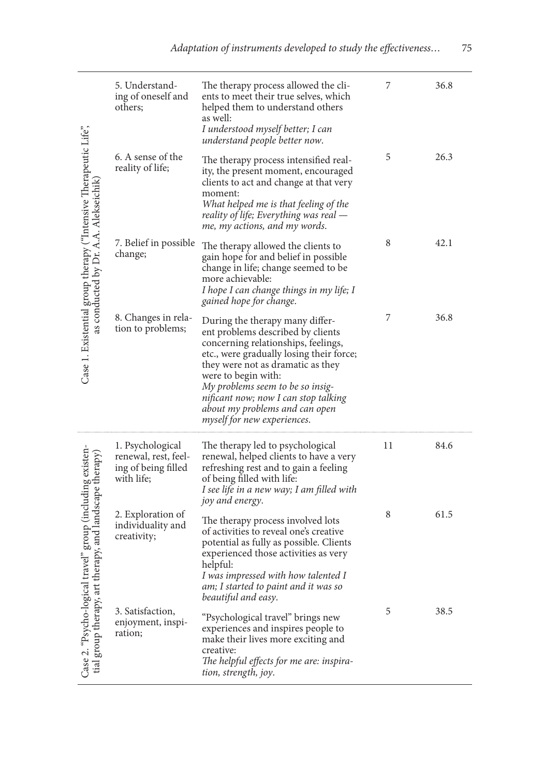| Case 1. Existential group therapy ("Intensive Therapeutic Life",<br>as conducted by Dr. A.A. Alekseichik                                         | 5. Understand-<br>ing of oneself and<br>others;                               | The therapy process allowed the cli-<br>ents to meet their true selves, which<br>helped them to understand others<br>as well:<br>I understood myself better; I can<br>understand people better now.                                                                                                                                                              | 7  | 36.8 |
|--------------------------------------------------------------------------------------------------------------------------------------------------|-------------------------------------------------------------------------------|------------------------------------------------------------------------------------------------------------------------------------------------------------------------------------------------------------------------------------------------------------------------------------------------------------------------------------------------------------------|----|------|
|                                                                                                                                                  | 6. A sense of the<br>reality of life;                                         | The therapy process intensified real-<br>ity, the present moment, encouraged<br>clients to act and change at that very<br>moment:<br>What helped me is that feeling of the<br>reality of life; Everything was real —<br>me, my actions, and my words.                                                                                                            | 5  | 26.3 |
|                                                                                                                                                  | 7. Belief in possible<br>change;                                              | The therapy allowed the clients to<br>gain hope for and belief in possible<br>change in life; change seemed to be<br>more achievable:<br>I hope I can change things in my life; I<br>gained hope for change.                                                                                                                                                     | 8  | 42.1 |
|                                                                                                                                                  | 8. Changes in rela-<br>tion to problems;                                      | During the therapy many differ-<br>ent problems described by clients<br>concerning relationships, feelings,<br>etc., were gradually losing their force;<br>they were not as dramatic as they<br>were to begin with:<br>My problems seem to be so insig-<br>nificant now; now I can stop talking<br>about my problems and can open<br>myself for new experiences. | 7  | 36.8 |
| group (including existen-<br>py, and landscape therapy)<br>$\hat{\mathbf{r}}$<br>Case 2. "Psycho-logical travel<br>tial group therapy, art thera | 1. Psychological<br>renewal, rest, feel-<br>ing of being filled<br>with life; | The therapy led to psychological<br>renewal, helped clients to have a very<br>refreshing rest and to gain a feeling<br>of being filled with life:<br>I see life in a new way; I am filled with<br>joy and energy.                                                                                                                                                | 11 | 84.6 |
|                                                                                                                                                  | 2. Exploration of<br>individuality and<br>creativity;                         | The therapy process involved lots<br>of activities to reveal one's creative<br>potential as fully as possible. Clients<br>experienced those activities as very<br>helpful:<br>I was impressed with how talented I<br>am; I started to paint and it was so<br>beautiful and easy.                                                                                 | 8  | 61.5 |
|                                                                                                                                                  | 3. Satisfaction,<br>enjoyment, inspi-<br>ration;                              | "Psychological travel" brings new<br>experiences and inspires people to<br>make their lives more exciting and<br>creative:<br>The helpful effects for me are: inspira-<br>tion, strength, joy.                                                                                                                                                                   | 5  | 38.5 |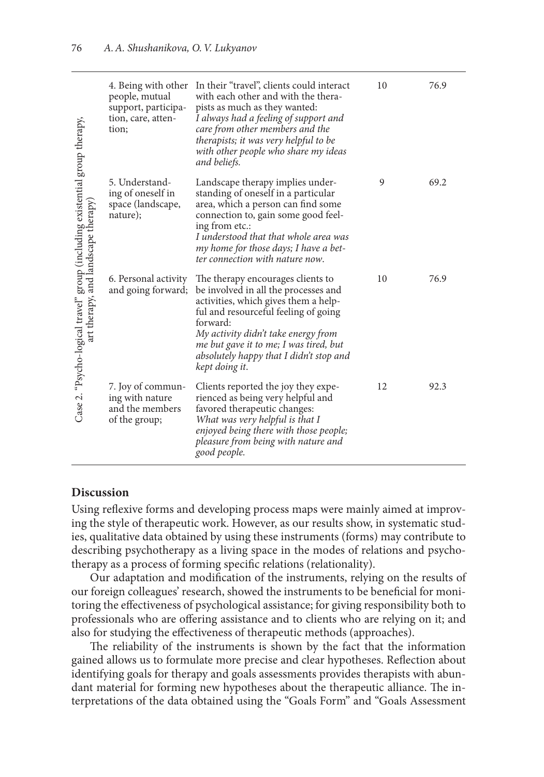| Case 2. "Psycho-logical travel" group (including existential group therapy,<br>art therapy, and landscape therapy) | people, mutual<br>support, participa-<br>tion, care, atten-<br>tion;     | 4. Being with other In their "travel", clients could interact<br>with each other and with the thera-<br>pists as much as they wanted:<br>I always had a feeling of support and<br>care from other members and the<br>therapists; it was very helpful to be<br>with other people who share my ideas<br>and beliefs.  | 10 | 76.9 |
|--------------------------------------------------------------------------------------------------------------------|--------------------------------------------------------------------------|---------------------------------------------------------------------------------------------------------------------------------------------------------------------------------------------------------------------------------------------------------------------------------------------------------------------|----|------|
|                                                                                                                    | 5. Understand-<br>ing of oneself in<br>space (landscape,<br>nature);     | Landscape therapy implies under-<br>standing of oneself in a particular<br>area, which a person can find some<br>connection to, gain some good feel-<br>ing from etc.:<br>I understood that that whole area was<br>my home for those days; I have a bet-<br>ter connection with nature now.                         | 9  | 69.2 |
|                                                                                                                    | 6. Personal activity<br>and going forward;                               | The therapy encourages clients to<br>be involved in all the processes and<br>activities, which gives them a help-<br>ful and resourceful feeling of going<br>forward:<br>My activity didn't take energy from<br>me but gave it to me; I was tired, but<br>absolutely happy that I didn't stop and<br>kept doing it. | 10 | 76.9 |
|                                                                                                                    | 7. Joy of commun-<br>ing with nature<br>and the members<br>of the group; | Clients reported the joy they expe-<br>rienced as being very helpful and<br>favored therapeutic changes:<br>What was very helpful is that I<br>enjoyed being there with those people;<br>pleasure from being with nature and<br>good people.                                                                        | 12 | 92.3 |

## **Discussion**

Using reflexive forms and developing process maps were mainly aimed at improving the style of therapeutic work. However, as our results show, in systematic studies, qualitative data obtained by using these instruments (forms) may contribute to describing psychotherapy as a living space in the modes of relations and psychotherapy as a process of forming specific relations (relationality).

Our adaptation and modification of the instruments, relying on the results of our foreign colleagues' research, showed the instruments to be beneficial for monitoring the effectiveness of psychological assistance; for giving responsibility both to professionals who are offering assistance and to clients who are relying on it; and also for studying the effectiveness of therapeutic methods (approaches).

The reliability of the instruments is shown by the fact that the information gained allows us to formulate more precise and clear hypotheses. Reflection about identifying goals for therapy and goals assessments provides therapists with abundant material for forming new hypotheses about the therapeutic alliance. The interpretations of the data obtained using the "Goals Form" and "Goals Assessment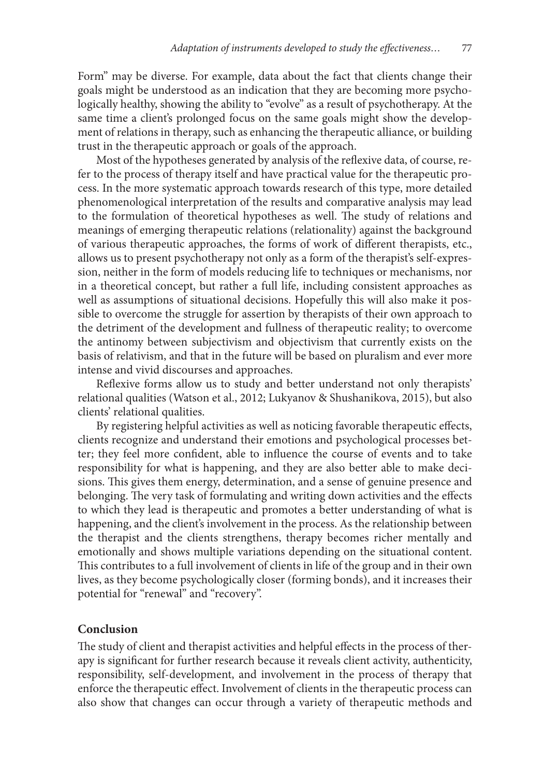Form" may be diverse. For example, data about the fact that clients change their goals might be understood as an indication that they are becoming more psychologically healthy, showing the ability to "evolve" as a result of psychotherapy. At the same time a client's prolonged focus on the same goals might show the development of relations in therapy, such as enhancing the therapeutic alliance, or building trust in the therapeutic approach or goals of the approach.

Most of the hypotheses generated by analysis of the reflexive data, of course, refer to the process of therapy itself and have practical value for the therapeutic process. In the more systematic approach towards research of this type, more detailed phenomenological interpretation of the results and comparative analysis may lead to the formulation of theoretical hypotheses as well. The study of relations and meanings of emerging therapeutic relations (relationality) against the background of various therapeutic approaches, the forms of work of different therapists, etc., allows us to present psychotherapy not only as a form of the therapist's self-expression, neither in the form of models reducing life to techniques or mechanisms, nor in a theoretical concept, but rather a full life, including consistent approaches as well as assumptions of situational decisions. Hopefully this will also make it possible to overcome the struggle for assertion by therapists of their own approach to the detriment of the development and fullness of therapeutic reality; to overcome the antinomy between subjectivism and objectivism that currently exists on the basis of relativism, and that in the future will be based on pluralism and ever more intense and vivid discourses and approaches.

Reflexive forms allow us to study and better understand not only therapists' relational qualities (Watson et al., 2012; Lukyanov & Shushanikova, 2015), but also clients' relational qualities.

By registering helpful activities as well as noticing favorable therapeutic effects, clients recognize and understand their emotions and psychological processes better; they feel more confident, able to influence the course of events and to take responsibility for what is happening, and they are also better able to make decisions. This gives them energy, determination, and a sense of genuine presence and belonging. The very task of formulating and writing down activities and the effects to which they lead is therapeutic and promotes a better understanding of what is happening, and the client's involvement in the process. As the relationship between the therapist and the clients strengthens, therapy becomes richer mentally and emotionally and shows multiple variations depending on the situational content. This contributes to a full involvement of clients in life of the group and in their own lives, as they become psychologically closer (forming bonds), and it increases their potential for "renewal" and "recovery".

## **Conclusion**

The study of client and therapist activities and helpful effects in the process of therapy is significant for further research because it reveals client activity, authenticity, responsibility, self-development, and involvement in the process of therapy that enforce the therapeutic effect. Involvement of clients in the therapeutic process can also show that changes can occur through a variety of therapeutic methods and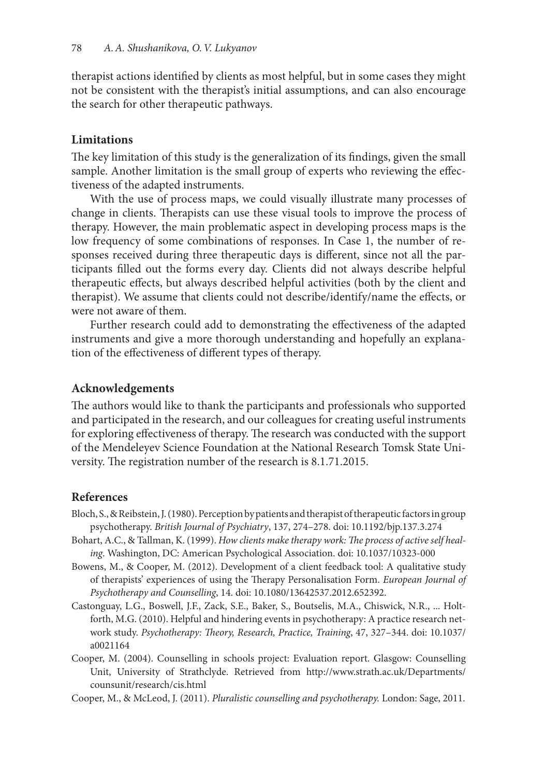therapist actions identified by clients as most helpful, but in some cases they might not be consistent with the therapist's initial assumptions, and can also encourage the search for other therapeutic pathways.

# **Limitations**

The key limitation of this study is the generalization of its findings, given the small sample. Another limitation is the small group of experts who reviewing the effectiveness of the adapted instruments.

With the use of process maps, we could visually illustrate many processes of change in clients. Therapists can use these visual tools to improve the process of therapy. However, the main problematic aspect in developing process maps is the low frequency of some combinations of responses. In Case 1, the number of responses received during three therapeutic days is different, since not all the participants filled out the forms every day. Clients did not always describe helpful therapeutic effects, but always described helpful activities (both by the client and therapist). We assume that clients could not describe/identify/name the effects, or were not aware of them.

Further research could add to demonstrating the effectiveness of the adapted instruments and give a more thorough understanding and hopefully an explanation of the effectiveness of different types of therapy.

# **Acknowledgements**

The authors would like to thank the participants and professionals who supported and participated in the research, and our colleagues for creating useful instruments for exploring effectiveness of therapy. The research was conducted with the support of the Mendeleyev Science Foundation at the National Research Tomsk State University. The registration number of the research is 8.1.71.2015.

## **References**

- Bloch, S., & Reibstein, J. (1980). Perception by patients and therapist of therapeutic factors in group psychotherapy. *British Journal of Psychiatry*, 137, 274–278. doi: 10.1192/bjp.137.3.274
- Bohart, A.C., & Tallman, K. (1999). *How clients make therapy work: The process of active self healing*. Washington, DC: American Psychological Association. doi: 10.1037/10323-000
- Bowens, M., & Cooper, M. (2012). Development of a client feedback tool: A qualitative study of therapists' experiences of using the Therapy Personalisation Form. *European Journal of Psychotherapy and Counselling*, 14. doi: 10.1080/13642537.2012.652392.
- Castonguay, L.G., Boswell, J.F., Zack, S.E., Baker, S., Boutselis, M.A., Chiswick, N.R., ... Holtforth, M.G. (2010). Helpful and hindering events in psychotherapy: A practice research network study. *Psychotherapy: Theory, Research, Practice, Training*, 47, 327–344. doi: 10.1037/ a0021164
- Cooper, M. (2004). Counselling in schools project: Evaluation report. Glasgow: Counselling Unit, University of Strathclyde. Retrieved from http://www.strath.ac.uk/Departments/ counsunit/research/cis.html

Cooper, M., & McLeod, J. (2011). *Pluralistic counselling and psychotherapy.* London: Sage, 2011.